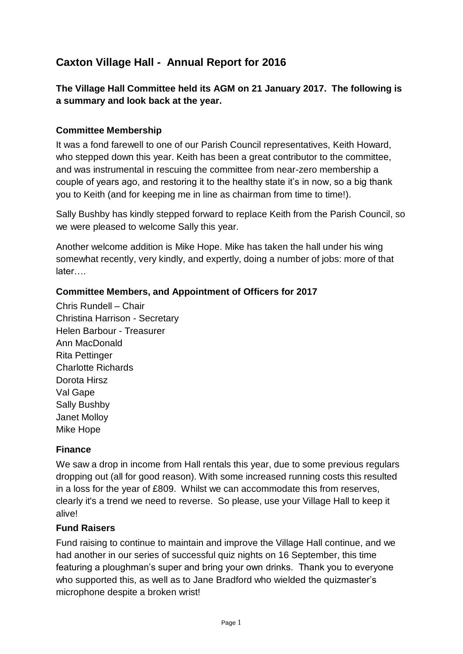# **Caxton Village Hall - Annual Report for 2016**

**The Village Hall Committee held its AGM on 21 January 2017. The following is a summary and look back at the year.**

## **Committee Membership**

It was a fond farewell to one of our Parish Council representatives, Keith Howard, who stepped down this year. Keith has been a great contributor to the committee, and was instrumental in rescuing the committee from near-zero membership a couple of years ago, and restoring it to the healthy state it's in now, so a big thank you to Keith (and for keeping me in line as chairman from time to time!).

Sally Bushby has kindly stepped forward to replace Keith from the Parish Council, so we were pleased to welcome Sally this year.

Another welcome addition is Mike Hope. Mike has taken the hall under his wing somewhat recently, very kindly, and expertly, doing a number of jobs: more of that later….

#### **Committee Members, and Appointment of Officers for 2017**

Chris Rundell – Chair Christina Harrison - Secretary Helen Barbour - Treasurer Ann MacDonald Rita Pettinger Charlotte Richards Dorota Hirsz Val Gape Sally Bushby Janet Molloy Mike Hope

#### **Finance**

We saw a drop in income from Hall rentals this year, due to some previous regulars dropping out (all for good reason). With some increased running costs this resulted in a loss for the year of £809. Whilst we can accommodate this from reserves, clearly it's a trend we need to reverse. So please, use your Village Hall to keep it alive!

#### **Fund Raisers**

Fund raising to continue to maintain and improve the Village Hall continue, and we had another in our series of successful quiz nights on 16 September, this time featuring a ploughman's super and bring your own drinks. Thank you to everyone who supported this, as well as to Jane Bradford who wielded the quizmaster's microphone despite a broken wrist!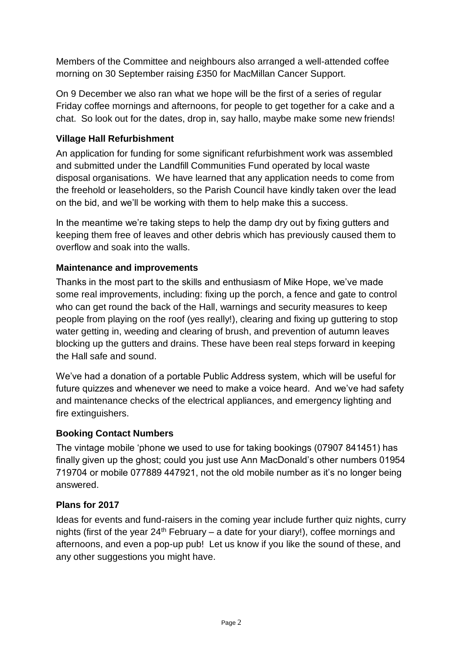Members of the Committee and neighbours also arranged a well-attended coffee morning on 30 September raising £350 for MacMillan Cancer Support.

On 9 December we also ran what we hope will be the first of a series of regular Friday coffee mornings and afternoons, for people to get together for a cake and a chat. So look out for the dates, drop in, say hallo, maybe make some new friends!

# **Village Hall Refurbishment**

An application for funding for some significant refurbishment work was assembled and submitted under the Landfill Communities Fund operated by local waste disposal organisations. We have learned that any application needs to come from the freehold or leaseholders, so the Parish Council have kindly taken over the lead on the bid, and we'll be working with them to help make this a success.

In the meantime we're taking steps to help the damp dry out by fixing gutters and keeping them free of leaves and other debris which has previously caused them to overflow and soak into the walls.

# **Maintenance and improvements**

Thanks in the most part to the skills and enthusiasm of Mike Hope, we've made some real improvements, including: fixing up the porch, a fence and gate to control who can get round the back of the Hall, warnings and security measures to keep people from playing on the roof (yes really!), clearing and fixing up guttering to stop water getting in, weeding and clearing of brush, and prevention of autumn leaves blocking up the gutters and drains. These have been real steps forward in keeping the Hall safe and sound.

We've had a donation of a portable Public Address system, which will be useful for future quizzes and whenever we need to make a voice heard. And we've had safety and maintenance checks of the electrical appliances, and emergency lighting and fire extinguishers.

## **Booking Contact Numbers**

The vintage mobile 'phone we used to use for taking bookings (07907 841451) has finally given up the ghost; could you just use Ann MacDonald's other numbers 01954 719704 or mobile 077889 447921, not the old mobile number as it's no longer being answered.

## **Plans for 2017**

Ideas for events and fund-raisers in the coming year include further quiz nights, curry nights (first of the year  $24<sup>th</sup>$  February – a date for your diary!), coffee mornings and afternoons, and even a pop-up pub! Let us know if you like the sound of these, and any other suggestions you might have.